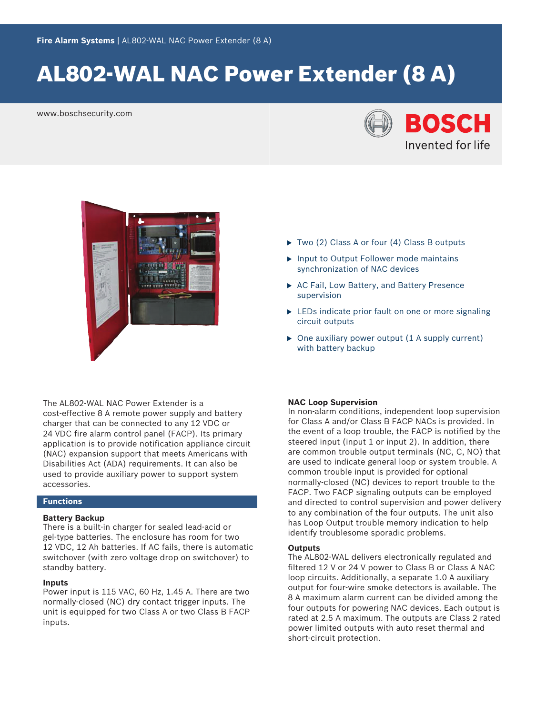# AL802‑WAL NAC Power Extender (8 A)

www.boschsecurity.com





The AL802-WAL NAC Power Extender is a cost-effective 8 A remote power supply and battery charger that can be connected to any 12 VDC or 24 VDC fire alarm control panel (FACP). Its primary application is to provide notification appliance circuit (NAC) expansion support that meets Americans with Disabilities Act (ADA) requirements. It can also be used to provide auxiliary power to support system accessories.

## **Functions**

### **Battery Backup**

There is a built-in charger for sealed lead-acid or gel-type batteries. The enclosure has room for two 12 VDC, 12 Ah batteries. If AC fails, there is automatic switchover (with zero voltage drop on switchover) to standby battery.

#### **Inputs**

Power input is 115 VAC, 60 Hz, 1.45 A. There are two normally‑closed (NC) dry contact trigger inputs. The unit is equipped for two Class A or two Class B FACP inputs.

- $\triangleright$  Two (2) Class A or four (4) Class B outputs
- $\blacktriangleright$  Input to Output Follower mode maintains synchronization of NAC devices
- $\triangleright$  AC Fail, Low Battery, and Battery Presence supervision
- $\triangleright$  LEDs indicate prior fault on one or more signaling circuit outputs
- $\triangleright$  One auxiliary power output (1 A supply current) with battery backup

#### **NAC Loop Supervision**

In non‑alarm conditions, independent loop supervision for Class A and/or Class B FACP NACs is provided. In the event of a loop trouble, the FACP is notified by the steered input (input 1 or input 2). In addition, there are common trouble output terminals (NC, C, NO) that are used to indicate general loop or system trouble. A common trouble input is provided for optional normally‑closed (NC) devices to report trouble to the FACP. Two FACP signaling outputs can be employed and directed to control supervision and power delivery to any combination of the four outputs. The unit also has Loop Output trouble memory indication to help identify troublesome sporadic problems.

#### **Outputs**

The AL802‑WAL delivers electronically regulated and filtered 12 V or 24 V power to Class B or Class A NAC loop circuits. Additionally, a separate 1.0 A auxiliary output for four‑wire smoke detectors is available. The 8 A maximum alarm current can be divided among the four outputs for powering NAC devices. Each output is rated at 2.5 A maximum. The outputs are Class 2 rated power limited outputs with auto reset thermal and short-circuit protection.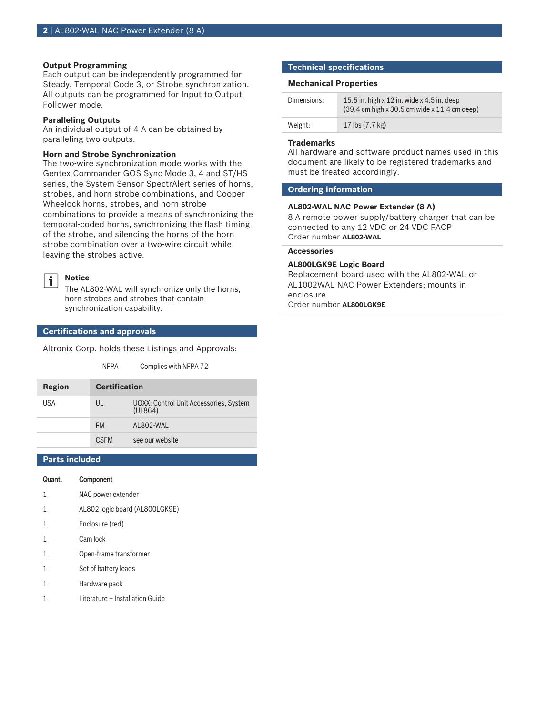#### **Output Programming**

Each output can be independently programmed for Steady, Temporal Code 3, or Strobe synchronization. All outputs can be programmed for Input to Output Follower mode.

#### **Paralleling Outputs**

An individual output of 4 A can be obtained by paralleling two outputs.

#### **Horn and Strobe Synchronization**

The two-wire synchronization mode works with the Gentex Commander GOS Sync Mode 3, 4 and ST/HS series, the System Sensor SpectrAlert series of horns, strobes, and horn strobe combinations, and Cooper Wheelock horns, strobes, and horn strobe combinations to provide a means of synchronizing the temporal-coded horns, synchronizing the flash timing of the strobe, and silencing the horns of the horn strobe combination over a two-wire circuit while leaving the strobes active.

#### **Notice**  $\mathbf i$

The AL802‑WAL will synchronize only the horns, horn strobes and strobes that contain synchronization capability.

NFPA Complies with NFPA 72

#### **Certifications and approvals**

Altronix Corp. holds these Listings and Approvals:

| Region | <b>Certification</b> |                                                   |
|--------|----------------------|---------------------------------------------------|
| USA    | UL                   | UOXX: Control Unit Accessories, System<br>(UL864) |
|        | <b>FM</b>            | AI 802-WAI                                        |
|        | <b>CSEM</b>          | see our website                                   |

### **Parts included**

- Quant. Component
- 1 NAC power extender
- 1 AL802 logic board (AL800LGK9E)
- 1 Enclosure (red)
- 1 Cam lock
- 1 Open‑frame transformer
- 1 Set of battery leads
- 1 Hardware pack
- 1 Literature Installation Guide

#### **Technical specifications**

#### **Mechanical Properties**

| Dimensions: | 15.5 in. high $x$ 12 in. wide $x$ 4.5 in. deep<br>$(39.4 \text{ cm} \text{ high} \times 30.5 \text{ cm} \text{ wide} \times 11.4 \text{ cm} \text{ deep})$ |
|-------------|------------------------------------------------------------------------------------------------------------------------------------------------------------|
| Weight:     | 17 lbs (7.7 kg)                                                                                                                                            |

#### **Trademarks**

All hardware and software product names used in this document are likely to be registered trademarks and must be treated accordingly.

#### **Ordering information**

### **AL802‑WAL NAC Power Extender (8 A)**

8 A remote power supply/battery charger that can be connected to any 12 VDC or 24 VDC FACP Order number **AL802-WAL**

### **Accessories**

#### **AL800LGK9E Logic Board**

Replacement board used with the AL802‑WAL or AL1002WAL NAC Power Extenders; mounts in enclosure

Order number **AL800LGK9E**